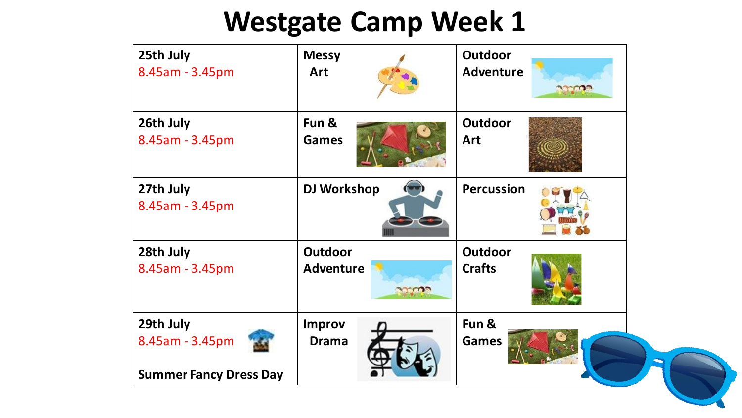| 25th July<br>8.45am - 3.45pm                                  | <b>Messy</b><br>Art                          | <b>Outdoor</b><br><b>Adventure</b><br><b>MOOD</b> |  |
|---------------------------------------------------------------|----------------------------------------------|---------------------------------------------------|--|
| 26th July<br>8.45am - 3.45pm                                  | Fun &<br><b>Games</b>                        | <b>Outdoor</b><br>Art                             |  |
| 27th July<br>8.45am - 3.45pm                                  | <b>DJ Workshop</b>                           | <b>Percussion</b>                                 |  |
| 28th July<br>8.45am - 3.45pm                                  | <b>Outdoor</b><br><b>Adventure</b><br>33 COP | <b>Outdoor</b><br><b>Crafts</b>                   |  |
| 29th July<br>8.45am - 3.45pm<br><b>Summer Fancy Dress Day</b> | <b>Improv</b><br><b>Drama</b>                | Fun &<br><b>Games</b>                             |  |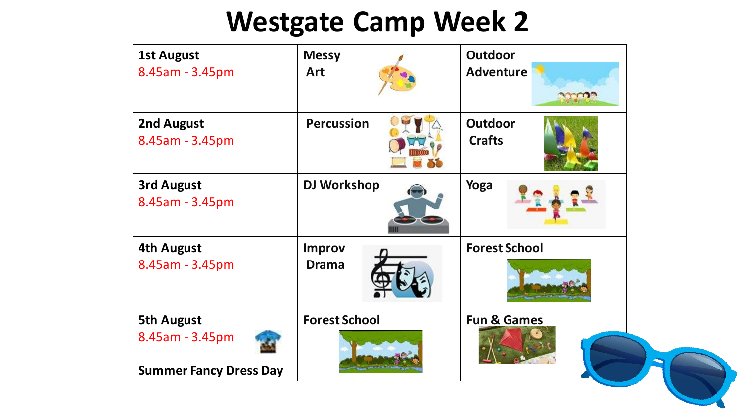| <b>1st August</b><br>8.45am - 3.45pm                                  | <b>Messy</b><br><b>Art</b>    | <b>Outdoor</b><br><b>Adventure</b> |  |
|-----------------------------------------------------------------------|-------------------------------|------------------------------------|--|
| 2nd August<br>8.45am - 3.45pm                                         | <b>Percussion</b>             | <b>Outdoor</b><br><b>Crafts</b>    |  |
| <b>3rd August</b><br>8.45am - 3.45pm                                  | DJ Workshop                   | Yoga                               |  |
| <b>4th August</b><br>8.45am - 3.45pm                                  | <b>Improv</b><br><b>Drama</b> | <b>Forest School</b>               |  |
| <b>5th August</b><br>8.45am - 3.45pm<br><b>Summer Fancy Dress Day</b> | <b>Forest School</b>          | <b>Fun &amp; Games</b>             |  |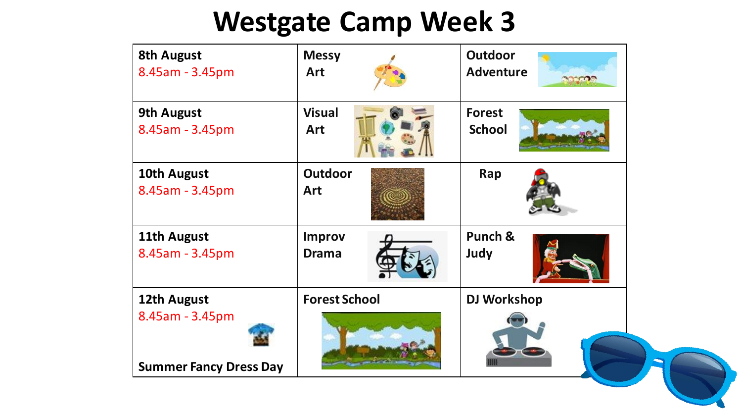| <b>8th August</b><br>8.45am - 3.45pm | <b>Messy</b><br><b>Art</b>    | Outdoor<br><b>Adventure</b><br><b>SECTION</b> |
|--------------------------------------|-------------------------------|-----------------------------------------------|
| <b>9th August</b><br>8.45am - 3.45pm | <b>Visual</b><br><b>Art</b>   | <b>Forest</b><br><b>School</b>                |
| 10th August<br>8.45am - 3.45pm       | Outdoor<br><b>Art</b>         | Rap                                           |
| 11th August<br>8.45am - 3.45pm       | <b>Improv</b><br><b>Drama</b> | Punch &<br>Judy                               |
| 12th August<br>8.45am - 3.45pm       | <b>Forest School</b>          | <b>DJ Workshop</b>                            |
| <b>Summer Fancy Dress Day</b>        |                               |                                               |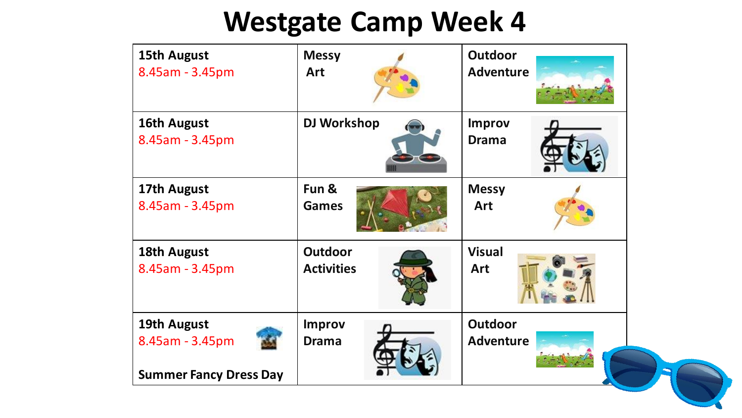| 15th August                                                     | <b>Messy</b>                  | <b>Outdoor</b>                |
|-----------------------------------------------------------------|-------------------------------|-------------------------------|
| 8.45am - 3.45pm                                                 | <b>Art</b>                    | <b>Adventure</b>              |
| 16th August<br>8.45am - 3.45pm                                  | <b>DJ Workshop</b>            | <b>Improv</b><br><b>Drama</b> |
| 17th August                                                     | Fun &                         | <b>Messy</b>                  |
| 8.45am - 3.45pm                                                 | <b>Games</b>                  | <b>Art</b>                    |
| 18th August                                                     | <b>Outdoor</b>                | <b>Visual</b>                 |
| 8.45am - 3.45pm                                                 | <b>Activities</b>             | <b>Art</b>                    |
| 19th August<br>8.45am - 3.45pm<br><b>Summer Fancy Dress Day</b> | <b>Improv</b><br><b>Drama</b> | Outdoor<br><b>Adventure</b>   |